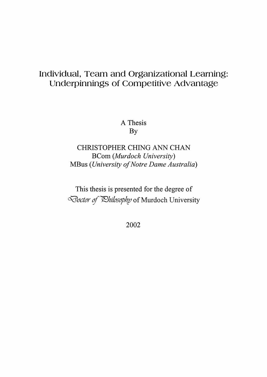# Individual, Team and Organizational Learning: Underpinnings of Competitive Advantage

A Thesis **By** 

CHRISTOPHER CHING ANN CHAN **BCom** (Murdoch University) MBus (University of Notre Dame Australia)

This thesis is presented for the degree of Doctor of Ehilosophy of Murdoch University

2002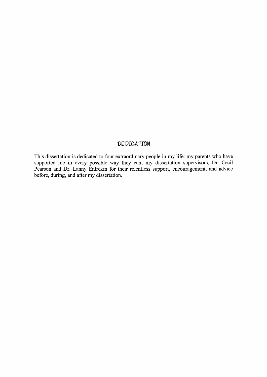### **DEDICATION**

This dissertation is dedicated to four extraordinary people in my life: my parents who have supported me in every possible way they can; my dissertation supervisors, Dr. Cecil Pearson and Dr. Lanny Entrekin for their relentless support, encouragement, and advice<br>before, during, and after my dissertation.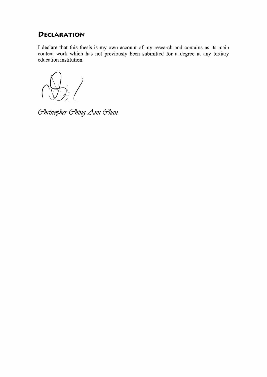# **DECLARATION**

I declare that this thesis is my own account of my research and contains as its main content work which has not previously been submitted for a degree at any tertiary education institution.

Christopher Ching Ann Chan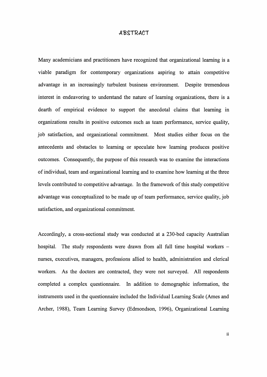#### ABSTRACT

Many academicians and practitioners have recognized that organizational learning is a viable paradigm for contemporary organizations aspiring to attain competitive advantage in an increasingly turbulent business environment. Despite tremendous interest in endeavoring to understand the nature of learning organizations, there is a dearth of empirical evidence to support the anecdotal claims that learning in organizations results in positive outcomes such as team performance, service quality, job satisfaction, and organizational commitment. Most studies either focus on the antecedents and obstacles to learning or speculate how learning produces positive outcomes. Consequently, the purpose of this research was to examine the interactions of individual, team and organizational learning and to examine how learning at the three levels contributed to competitive advantage. In the framework of this study competitive advantage was conceptualized to be made up of team performance, service quality, job satisfaction, and organizational commitment.

Accordingly, a cross-sectional study was conducted at a 230-bed capacity Australian hospital. The study respondents were drawn from all full time hospital workers nurses, executives, managers, professions allied to health, administration and clerical workers. As the doctors are contracted, they were not surveyed. All respondents completed a complex questionnaire. In addition to demographic information, the instruments used in the questionnaire included the Individual Learning Scale (Ames and Archer, 1988), Team Learning Survey (Edrnondson, 1996), Organizational Learning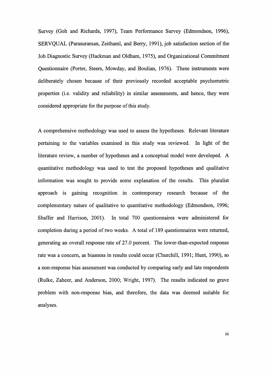Survey (Goh and Richards, 1997), Team Performance Survey (Edmondson, 1996), SERVQUAL (Parasuraman, Zeithaml, and Berry, 1991), job satisfaction section of the Job Diagnostic Survey (Hackman and Oldham, 1979, and Organizational Commitment Questionnaire (Porter, Steers, Mowday, and Boulian, 1976). These instruments were deliberately chosen because of their previously recorded acceptable psychometric properties (i.e. validity and reliability) in similar assessments, and hence, they were considered appropriate for the purpose of this study.

A comprehensive methodology was used to assess the hypotheses. Relevant literature pertaining to the variables examined in this study was reviewed. In light of the literature review, a number of hypotheses and a conceptual model were developed. A quantitative methodology was used to test the proposed hypotheses and qualitative information was sought to provide some explanation of the results. This pluralist approach is gaining recognition in contemporary research because of the complementary nature of qualitative to quantitative methodology (Edmondson, 1996; Shaffer and Harrison, 2001). In total 700 questionnaires were administered for completion during a period of two weeks. A total of 189 questionnaires were returned, generating an overall response rate of 27.0 percent. The lower-than-expected response rate was a concern, as biasness in results could occur (Churchill, 1991; Hunt, 1990), so a non-response bias assessment was conducted by comparing early and late respondents (Rulke, Zaheer, and Anderson, 2000; Wright, 1997). The results indicated no grave problem with non-response bias, and therefore, the data was deemed suitable for analyses.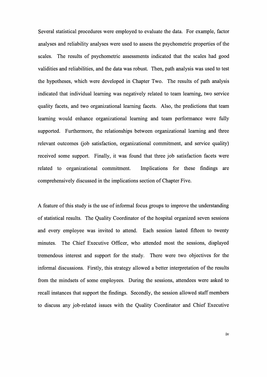Several statistical procedures were employed to evaluate the data. For example, factor analyses and reliability analyses were used to assess the psychometric properties of the scales. The results of psychometric assessments indicated that the scales had good validities and reliabilities, and the data was robust. Then, path analysis was used to test the hypotheses, which were developed in Chapter Two. The results of path analysis indicated that individual learning was negatively related to team learning, two service quality facets, and two organizational learning facets. Also, the predictions that team learning would enhance organizational learning and team performance were fully supported. Furthermore, the relationships between organizational learning and three relevant outcomes (job satisfaction, organizational commitment, and service quality) received some support. Finally, it was found that three job satisfaction facets were related to organizational commitment. Implications for these findings are comprehensively discussed in the implications section of Chapter Five.

A feature of this study is the use of informal focus groups to improve the understanding of statistical results. The Quality Coordinator of the hospital organized seven sessions and every employee was invited to attend. Each session lasted fifteen to twenty minutes. The Chief Executive Officer, who attended most the sessions, displayed tremendous interest and support for the study. There were two objectives for the informal discussions. Firstly, this strategy allowed a better interpretation of the results from the mindsets of some employees. During the sessions, attendees were asked to recall instances that support the findings. Secondly, the session allowed staff members to discuss any job-related issues with the Quality Coordinator and Chief Executive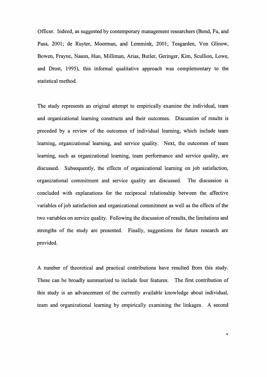Officer. Indeed, as suggested by contemporary management researchers (Bond, Fu, and Pasa, 2001; de Ruyter, Moorman, and Lemmink, 2001; Teagarden, Von Glinow, Bowen, Frayne, Nason, Huo, Milliman, Arias, Butler, Geringer, Kim, Scullion, Lowe, and Drost, 1995), this informal qualitative approach was complementary to the statistical method.

The study represents an original attempt to empirically examine the individual, team and organizational learning constructs and their outcomes. Discussion of results is preceded by a review of the outcomes of individual learning, which include team learning, organizational learning, and service quality. Next, the outcomes of team learning, such as organizational learning, team performance and service quality, are discussed. Subsequently, the effects of organizational learning on job satisfaction, organizational commitment and service quality are discussed. The discussion is concluded with explanations for the reciprocal relationship between the affective variables of job satisfaction and organizational commitment as well as the effects of the two variables on service quality. Following the discussion of results, the limitations and strengths of the study are presented. Finally, suggestions for future research are provided.

A number of theoretical and practical contributions have resulted from this study. These can be broadly summarized to include four features. The first contribution of this study is an advancement of the currently available knowledge about individual, team and organizational learning by empirically examining the linkages. A second

 $\overline{\mathbf{v}}$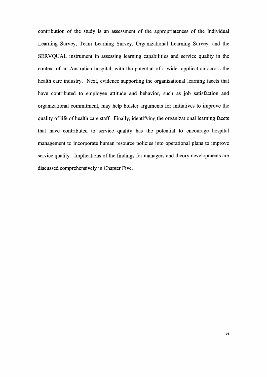contribution of the study is an assessment of the appropriateness of the Individual Learning Survey, Team Learning Survey, Organizational Learning Survey, and the SERVQUAL instrument in assessing learning capabilities and service quality in the context of an Australian hospital, with the potential of a wider application across the health care industry. Next, evidence supporting the organizational learning facets that have contributed to employee attitude and behavior, such as job satisfaction and organizational commitment, may help bolster arguments for initiatives to improve the quality of life of health care staff. Finally, identifying the organizational learning facets that have contributed to service quality has the potential to encourage hospital management to incorporate human resource policies into operational plans to improve service quality. Implications of the findings for managers and theory developments are discussed comprehensively in Chapter Five.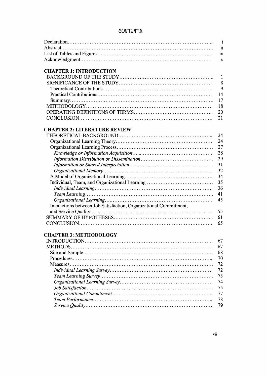# **CONTENTS**

|                                                                   | $\mathbf{i}$ |
|-------------------------------------------------------------------|--------------|
|                                                                   | 11           |
|                                                                   | ix           |
|                                                                   | X            |
| <b>CHAPTER 1: INTRODUCTION</b>                                    |              |
|                                                                   | 1            |
|                                                                   | 8            |
|                                                                   | 9            |
|                                                                   | 14           |
|                                                                   | 17           |
|                                                                   | 18           |
|                                                                   | 20           |
|                                                                   | 21           |
|                                                                   |              |
| <b>CHAPTER 2: LITERATURE REVIEW</b>                               |              |
|                                                                   | 24           |
|                                                                   | 24           |
|                                                                   | 27           |
|                                                                   | 28           |
|                                                                   | 29           |
|                                                                   | 31           |
|                                                                   | 32           |
|                                                                   | 34           |
|                                                                   | 35           |
|                                                                   | 36           |
|                                                                   | 41           |
|                                                                   | 45           |
| Interactions between Job Satisfaction, Organizational Commitment, |              |
|                                                                   | 55           |
|                                                                   | 61           |
|                                                                   | 65           |
|                                                                   |              |
| <b>CHAPTER 3: METHODOLOGY</b>                                     |              |
|                                                                   | 67           |
| METHODS                                                           | 67           |
|                                                                   | 68           |
|                                                                   | 70           |
|                                                                   | 72           |
|                                                                   | 72           |
|                                                                   | 73           |
|                                                                   | 74           |
|                                                                   | 75           |
|                                                                   | 77           |
|                                                                   | 78           |
|                                                                   |              |
|                                                                   | 79           |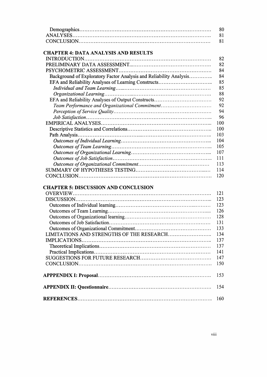| -80 |
|-----|
| -81 |
|     |

## **CHAPTER 4: DATA ANALYSIS AND RESULTS**

|                                                                    | 82  |
|--------------------------------------------------------------------|-----|
|                                                                    | 82  |
|                                                                    | 84  |
| Background of Exploratory Factor Analysis and Reliability Analysis | 84  |
|                                                                    | 85  |
|                                                                    | 85  |
|                                                                    | 88  |
|                                                                    | 92  |
| Team Performance and Organizational Commitment                     | 92  |
|                                                                    | 94  |
|                                                                    | 96  |
|                                                                    | 100 |
|                                                                    | 100 |
|                                                                    | 103 |
|                                                                    | 104 |
|                                                                    | 105 |
|                                                                    | 107 |
|                                                                    | 111 |
|                                                                    | 113 |
|                                                                    | 114 |
|                                                                    | 120 |
|                                                                    |     |

### **CHAPTER 5: DISCUSSION AND CONCLUSION**

| 121 |
|-----|
| 123 |
| 123 |
| 126 |
| 128 |
| 131 |
| 133 |
| 134 |
| 137 |
| 137 |
| 141 |
| 147 |
| 150 |
| 153 |
| 154 |
| 160 |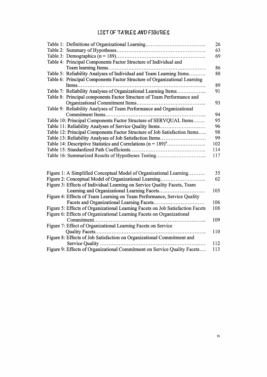## LIST OF TABLES AND FIGURES

|                                                                           | 26  |
|---------------------------------------------------------------------------|-----|
|                                                                           | 63  |
|                                                                           | 69  |
| Table 4: Principal Components Factor Structure of Individual and          |     |
|                                                                           | 86  |
| Table 5: Reliability Analyses of Individual and Team Learning Items       | 88  |
| Table 6: Principal Components Factor Structure of Organizational Learning |     |
|                                                                           | 89  |
| Table 7: Reliability Analyses of Organizational Learning Items            | 91  |
| Table 8: Principal components Factor Structure of Team Performance and    |     |
|                                                                           | 93  |
| Table 9: Reliability Analyses of Team Performance and Organizational      |     |
|                                                                           | 94  |
| Table 10: Principal Components Factor Structure of SERVQUAL Items         | 95  |
| Table 11: Reliability Analyses of Service Quality Items                   | 96  |
| Table 12: Principal Components Factor Structure of Job Satisfaction Items | 98  |
| Table 13: Reliability Analyses of Job Satisfaction Items                  | 99  |
|                                                                           | 102 |
|                                                                           | 114 |
| Table 16: Summarized Results of Hypotheses Testing                        | 117 |

| Figure 1: A Simplified Conceptual Model of Organizational Learning             | 35  |
|--------------------------------------------------------------------------------|-----|
| Figure 2: Conceptual Model of Organizational Learning                          | 62  |
| Figure 3: Effects of Individual Learning on Service Quality Facets, Team       |     |
|                                                                                | 105 |
| Figure 4: Effects of Team Learning on Team Performance, Service Quality        |     |
|                                                                                | 106 |
| Figure 5: Effects of Organizational Learning Facets on Job Satisfaction Facets | 108 |
| Figure 6: Effects of Organizational Learning Facets on Organizational          |     |
|                                                                                | 109 |
| Figure 7: Effect of Organizational Learning Facets on Service                  |     |
|                                                                                | 110 |
| Figure 8: Effects of Job Satisfaction on Organizational Commitment and         |     |
|                                                                                | 112 |
| Figure 9: Effects of Organizational Commitment on Service Quality Facets       | 113 |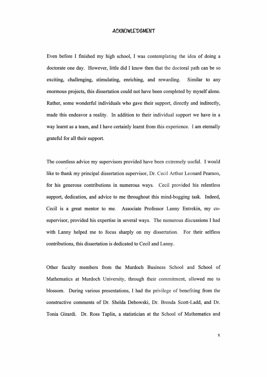#### **ACKNOWLEDGMENT**

Even before I finished my high school, I was contemplating the idea of doing a doctorate one day. However, little did I know then that the doctoral path can be so exciting, challenging, stimulating, enriching, and rewarding. Similar to any enormous projects, this dissertation could not have been completed by myself alone. Rather, some wonderful individuals who gave their support, directly and indirectly, made this endeavor a reality. In addition to their individual support we have in a way learnt as a team, and I have certainly learnt from this experience. I am eternally grateful for all their support.

The countless advice my supervisors provided have been extremely useful. I would like to thank my principal dissertation supervisor, Dr. Cecil Arthur Leonard Pearson, for his generous contributions in numerous ways. Cecil provided his relentless support, dedication, and advice to me throughout this mind-bogging task. Indeed, Cecil is a great mentor to me. Associate Professor Lanny Entrekin, my cosupervisor, provided his expertise in several ways. The numerous discussions I had with Lanny helped me to focus sharply on my dissertation. For their selfless contributions, this dissertation is dedicated to Cecil and Lanny.

Other faculty members from the Murdoch Business School and School of Mathematics at Murdoch University, through their commitment, allowed me to blossom. During various presentations, I had the privilege of benefiting from the constructive comments of Dr. Shelda Debowski, Dr. Brenda Scott-Ladd, and Dr. Tonia Girardi. Dr. Ross Taplin, a statistician at the School of Mathematics and

 $\bar{\mathbf{X}}$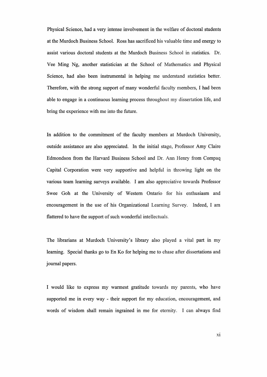Physical Science, had a very intense involvement in the welfare of doctoral students at the Murdoch Business School. Ross has sacrificed his valuable time and energy to assist various doctoral students at the Murdoch Business School in statistics. Dr. Vee Ming Ng, another statistician at the School of Mathematics and Physical Science, had also been instrumental in helping me understand statistics better. Therefore, with the strong support of many wonderful faculty members, I had been able to engage in a continuous learning process throughout my dissertation life, and bring the experience with me into the future.

In addition to the commitment of the faculty members at Murdoch University, outside assistance are also appreciated. In the initial stage, Professor Amy Claire Edmondson from the Harvard Business School and Dr. Ann Henry from Compaq Capital Corporation were very supportive and helpful in throwing light on the various team learning surveys available. I am also appreciative towards Professor Swee Goh at the University of Western Ontario for his enthusiasm and encouragement in the use of his Organizational Learning Survey. Indeed, I am flattered to have the support of such wonderful intellectuals.

The librarians at Murdoch University's library also played a vital part in my learning. Special thanks go to En Ko for helping me to chase after dissertations and journal papers.

I would like to express my warmest gratitude towards my parents, who have supported me in every way - their support for my education, encouragement, and words of wisdom shall remain ingrained in me for eternity. I can always find